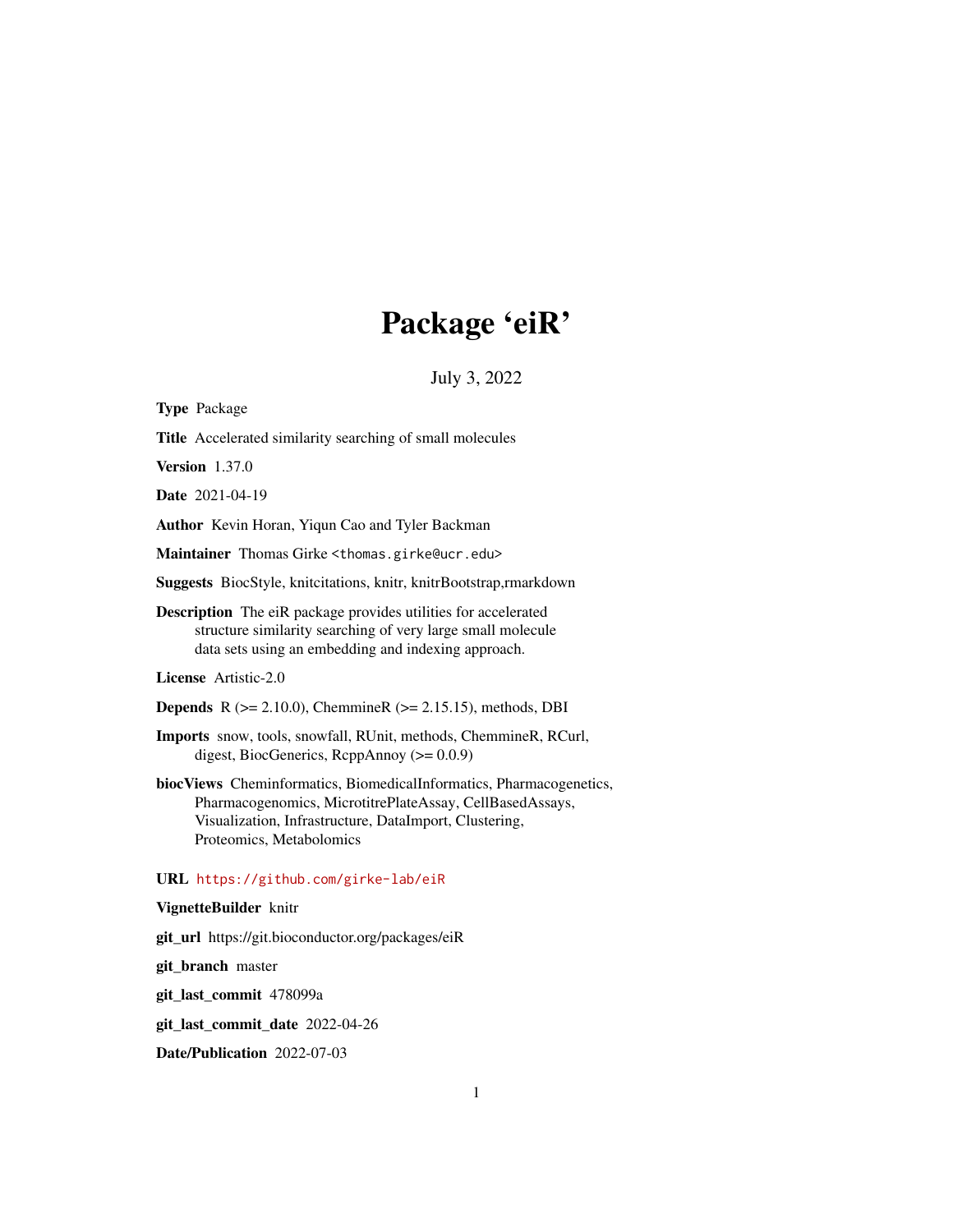# Package 'eiR'

July 3, 2022

<span id="page-0-0"></span>

| <b>Type Package</b>                                                                                                                                                                                                   |
|-----------------------------------------------------------------------------------------------------------------------------------------------------------------------------------------------------------------------|
| Title Accelerated similarity searching of small molecules                                                                                                                                                             |
| <b>Version</b> 1.37.0                                                                                                                                                                                                 |
| <b>Date</b> 2021-04-19                                                                                                                                                                                                |
| Author Kevin Horan, Yiqun Cao and Tyler Backman                                                                                                                                                                       |
| Maintainer Thomas Girke <thomas.girke@ucr.edu></thomas.girke@ucr.edu>                                                                                                                                                 |
| Suggests BiocStyle, knitcitations, knitr, knitrBootstrap,rmarkdown                                                                                                                                                    |
| <b>Description</b> The eiR package provides utilities for accelerated<br>structure similarity searching of very large small molecule<br>data sets using an embedding and indexing approach.                           |
| License Artistic-2.0                                                                                                                                                                                                  |
| <b>Depends</b> R $(>= 2.10.0)$ , ChemmineR $(>= 2.15.15)$ , methods, DBI                                                                                                                                              |
| Imports snow, tools, snowfall, RUnit, methods, ChemmineR, RCurl,<br>digest, BiocGenerics, RcppAnnoy $(>= 0.0.9)$                                                                                                      |
| biocViews Cheminformatics, BiomedicalInformatics, Pharmacogenetics,<br>Pharmacogenomics, MicrotitrePlateAssay, CellBasedAssays,<br>Visualization, Infrastructure, DataImport, Clustering,<br>Proteomics, Metabolomics |
| URL https://github.com/girke-lab/eiR                                                                                                                                                                                  |
| VignetteBuilder knitr                                                                                                                                                                                                 |
| git_url https://git.bioconductor.org/packages/eiR                                                                                                                                                                     |
| git_branch master                                                                                                                                                                                                     |
| git_last_commit 478099a                                                                                                                                                                                               |
| git_last_commit_date 2022-04-26                                                                                                                                                                                       |

Date/Publication 2022-07-03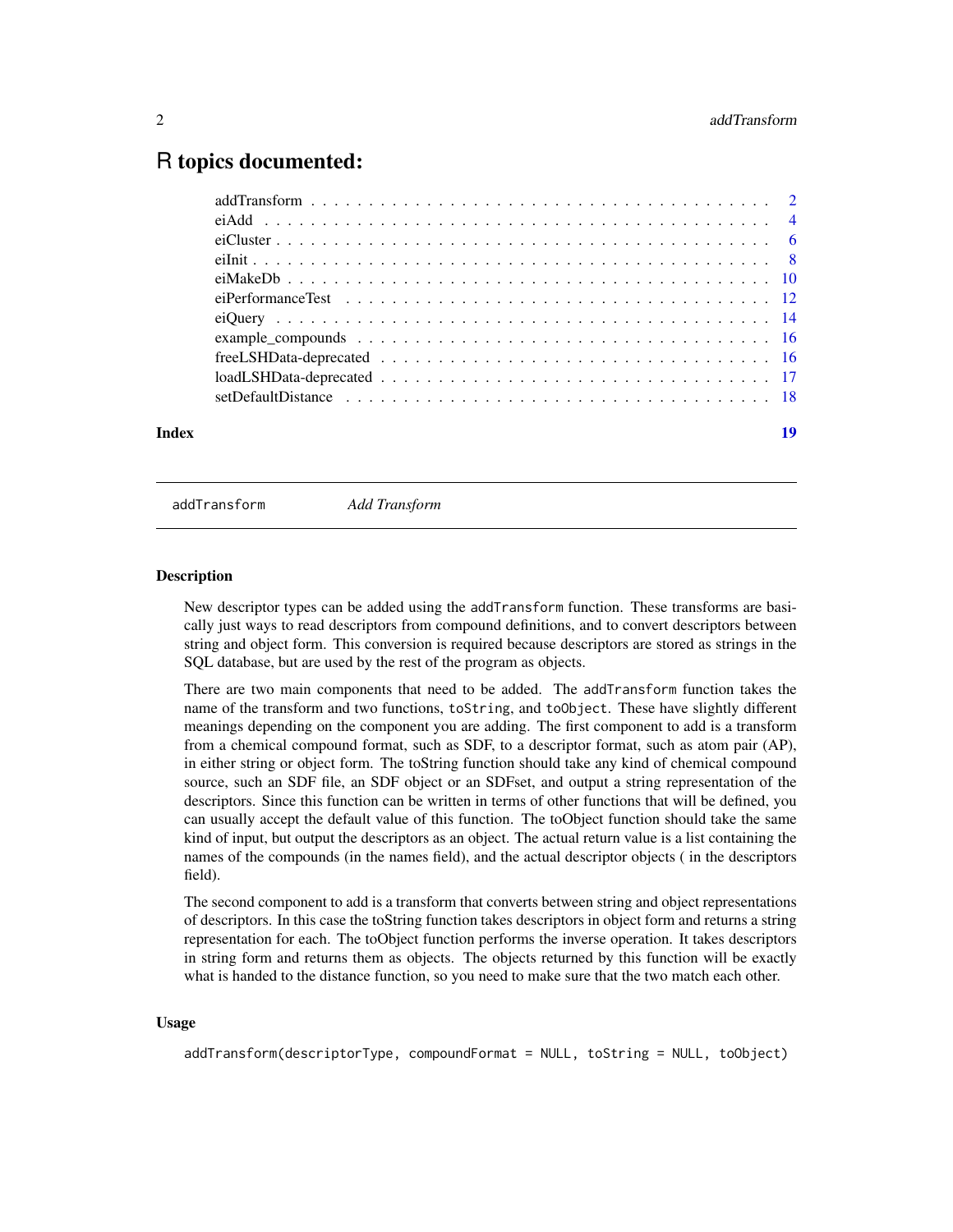# <span id="page-1-0"></span>R topics documented:

| Index | 19 |
|-------|----|
|       |    |
|       |    |
|       |    |
|       |    |
|       |    |
|       |    |
|       |    |
|       |    |
|       |    |
|       |    |
|       |    |

<span id="page-1-1"></span>addTransform *Add Transform*

#### **Description**

New descriptor types can be added using the addTransform function. These transforms are basically just ways to read descriptors from compound definitions, and to convert descriptors between string and object form. This conversion is required because descriptors are stored as strings in the SQL database, but are used by the rest of the program as objects.

There are two main components that need to be added. The addTransform function takes the name of the transform and two functions, toString, and toObject. These have slightly different meanings depending on the component you are adding. The first component to add is a transform from a chemical compound format, such as SDF, to a descriptor format, such as atom pair (AP), in either string or object form. The toString function should take any kind of chemical compound source, such an SDF file, an SDF object or an SDFset, and output a string representation of the descriptors. Since this function can be written in terms of other functions that will be defined, you can usually accept the default value of this function. The toObject function should take the same kind of input, but output the descriptors as an object. The actual return value is a list containing the names of the compounds (in the names field), and the actual descriptor objects ( in the descriptors field).

The second component to add is a transform that converts between string and object representations of descriptors. In this case the toString function takes descriptors in object form and returns a string representation for each. The toObject function performs the inverse operation. It takes descriptors in string form and returns them as objects. The objects returned by this function will be exactly what is handed to the distance function, so you need to make sure that the two match each other.

### Usage

addTransform(descriptorType, compoundFormat = NULL, toString = NULL, toObject)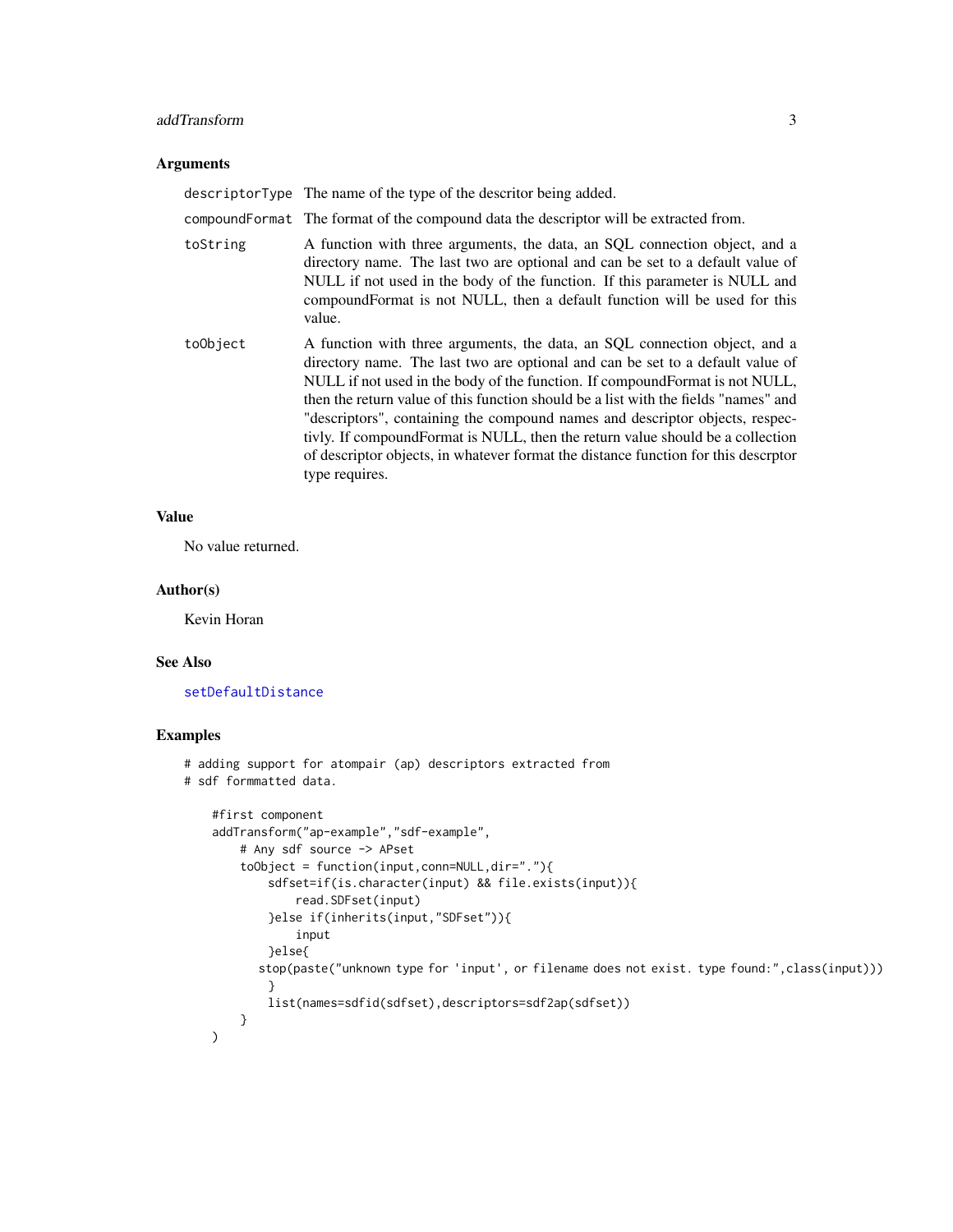## <span id="page-2-0"></span>addTransform 3

# Arguments

|          | descriptor Type The name of the type of the descritor being added.                                                                                                                                                                                                                                                                                                                                                                                                                                                                                                                                               |
|----------|------------------------------------------------------------------------------------------------------------------------------------------------------------------------------------------------------------------------------------------------------------------------------------------------------------------------------------------------------------------------------------------------------------------------------------------------------------------------------------------------------------------------------------------------------------------------------------------------------------------|
|          | compound Format The format of the compound data the descriptor will be extracted from.                                                                                                                                                                                                                                                                                                                                                                                                                                                                                                                           |
| toString | A function with three arguments, the data, an SQL connection object, and a<br>directory name. The last two are optional and can be set to a default value of<br>NULL if not used in the body of the function. If this parameter is NULL and<br>compound Format is not NULL, then a default function will be used for this<br>value.                                                                                                                                                                                                                                                                              |
| toObject | A function with three arguments, the data, an SQL connection object, and a<br>directory name. The last two are optional and can be set to a default value of<br>NULL if not used in the body of the function. If compound Format is not NULL,<br>then the return value of this function should be a list with the fields "names" and<br>"descriptors", containing the compound names and descriptor objects, respec-<br>tivly. If compound Format is NULL, then the return value should be a collection<br>of descriptor objects, in whatever format the distance function for this descriptor<br>type requires. |

# Value

No value returned.

# Author(s)

Kevin Horan

# See Also

[setDefaultDistance](#page-17-1)

# Examples

```
# adding support for atompair (ap) descriptors extracted from
# sdf formmatted data.
   #first component
   addTransform("ap-example","sdf-example",
       # Any sdf source -> APset
        toObject = function(input,conn=NULL,dir="."){
            sdfset=if(is.character(input) && file.exists(input)){
                read.SDFset(input)
            }else if(inherits(input,"SDFset")){
               input
            }else{
          stop(paste("unknown type for 'input', or filename does not exist. type found:",class(input)))
            }
           list(names=sdfid(sdfset),descriptors=sdf2ap(sdfset))
       }
   \lambda
```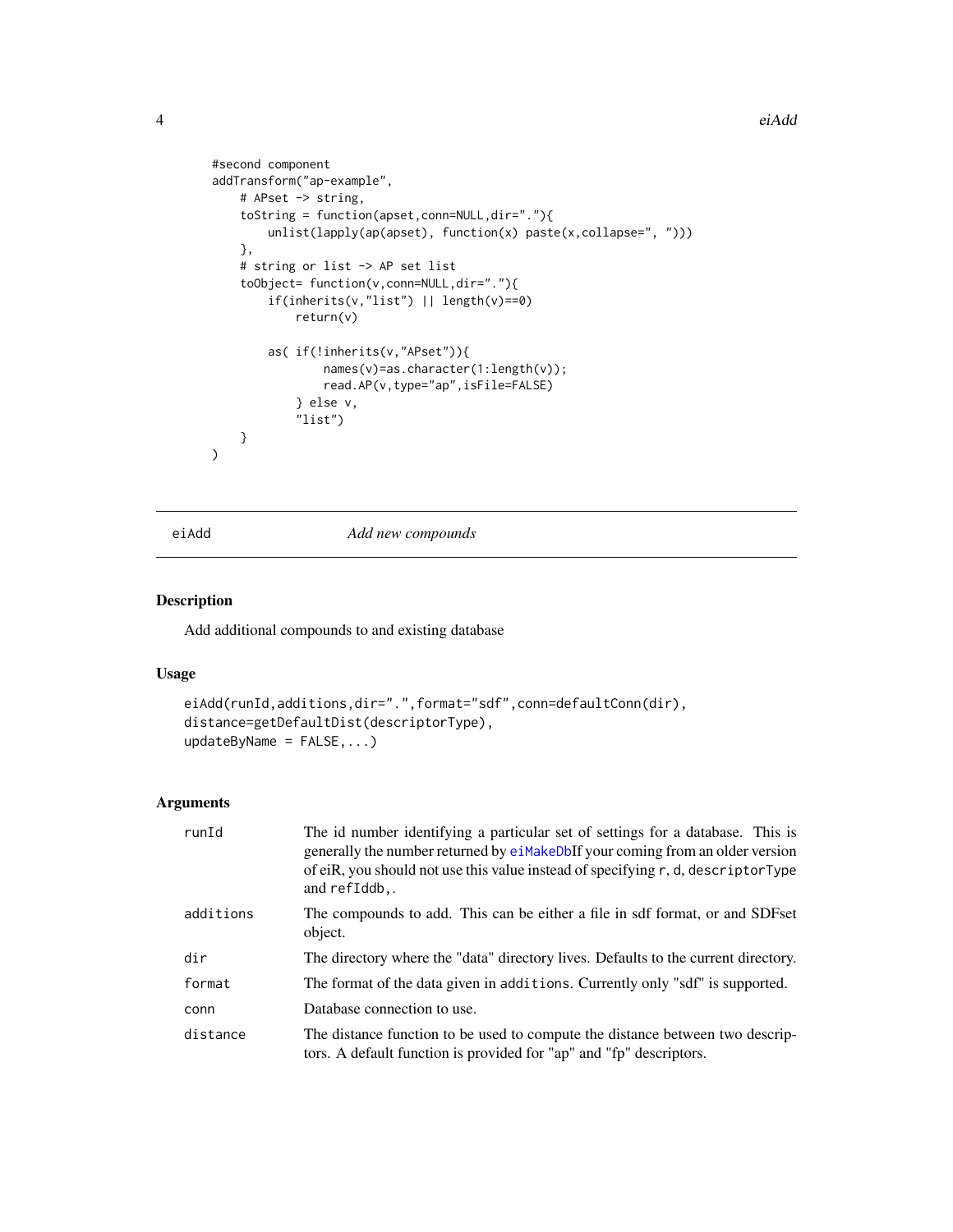```
#second component
addTransform("ap-example",
    # APset -> string,
    toString = function(apset,conn=NULL,dir="."){
        unlist(lapply(ap(apset), function(x) paste(x,collapse=", ")))
    },
    # string or list -> AP set list
    toObject= function(v,conn=NULL,dir="."){
        if(inherits(v,"list") || length(v)==0)
            return(v)
        as( if(!inherits(v,"APset")){
                names(v)=as.character(1:length(v));
                read.AP(v,type="ap",isFile=FALSE)
            } else v,
            "list")
    }
\lambda
```
eiAdd *Add new compounds*

# Description

Add additional compounds to and existing database

# Usage

```
eiAdd(runId,additions,dir=".",format="sdf",conn=defaultConn(dir),
distance=getDefaultDist(descriptorType),
updateByName = FALSE,...)
```

| runId     | The id number identifying a particular set of settings for a database. This is<br>generally the number returned by eiMakeDbIf your coming from an older version<br>of eiR, you should not use this value instead of specifying r, d, descriptorType<br>and refIddb,. |
|-----------|----------------------------------------------------------------------------------------------------------------------------------------------------------------------------------------------------------------------------------------------------------------------|
| additions | The compounds to add. This can be either a file in sdf format, or and SDFset<br>object.                                                                                                                                                                              |
| dir       | The directory where the "data" directory lives. Defaults to the current directory.                                                                                                                                                                                   |
| format    | The format of the data given in additions. Currently only "sdf" is supported.                                                                                                                                                                                        |
| conn      | Database connection to use.                                                                                                                                                                                                                                          |
| distance  | The distance function to be used to compute the distance between two descrip-<br>tors. A default function is provided for "ap" and "fp" descriptors.                                                                                                                 |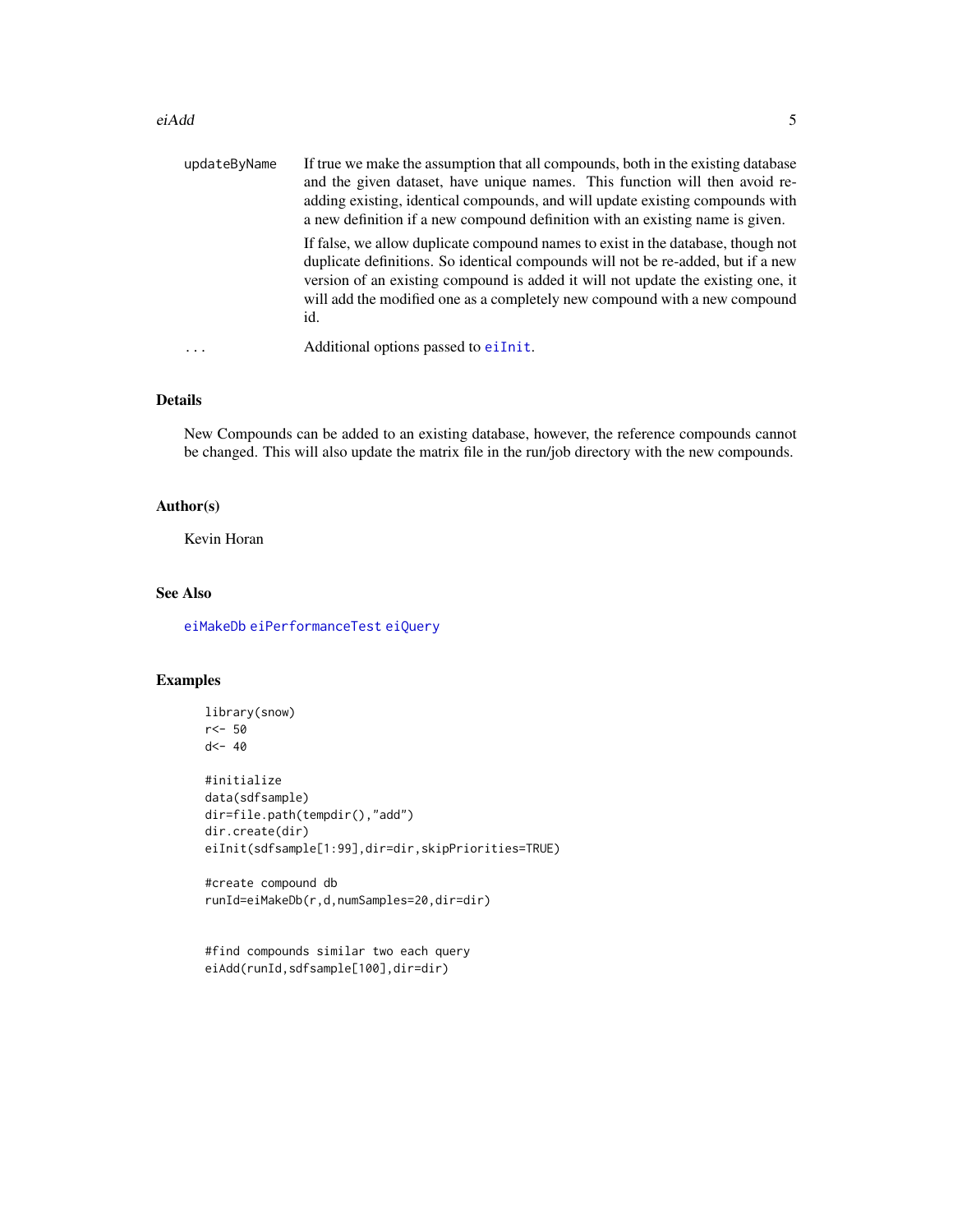#### <span id="page-4-0"></span>eiAdd 5

| updateByName | If true we make the assumption that all compounds, both in the existing database<br>and the given dataset, have unique names. This function will then avoid re-<br>adding existing, identical compounds, and will update existing compounds with<br>a new definition if a new compound definition with an existing name is given.             |
|--------------|-----------------------------------------------------------------------------------------------------------------------------------------------------------------------------------------------------------------------------------------------------------------------------------------------------------------------------------------------|
|              | If false, we allow duplicate compound names to exist in the database, though not<br>duplicate definitions. So identical compounds will not be re-added, but if a new<br>version of an existing compound is added it will not update the existing one, it<br>will add the modified one as a completely new compound with a new compound<br>id. |
|              | Additional options passed to eiInit.                                                                                                                                                                                                                                                                                                          |

#### Details

New Compounds can be added to an existing database, however, the reference compounds cannot be changed. This will also update the matrix file in the run/job directory with the new compounds.

# Author(s)

Kevin Horan

# See Also

[eiMakeDb](#page-9-1) [eiPerformanceTest](#page-11-1) [eiQuery](#page-13-1)

# Examples

```
library(snow)
r<- 50
d<- 40
#initialize
data(sdfsample)
dir=file.path(tempdir(),"add")
dir.create(dir)
eiInit(sdfsample[1:99],dir=dir,skipPriorities=TRUE)
```
#create compound db runId=eiMakeDb(r,d,numSamples=20,dir=dir)

```
#find compounds similar two each query
eiAdd(runId,sdfsample[100],dir=dir)
```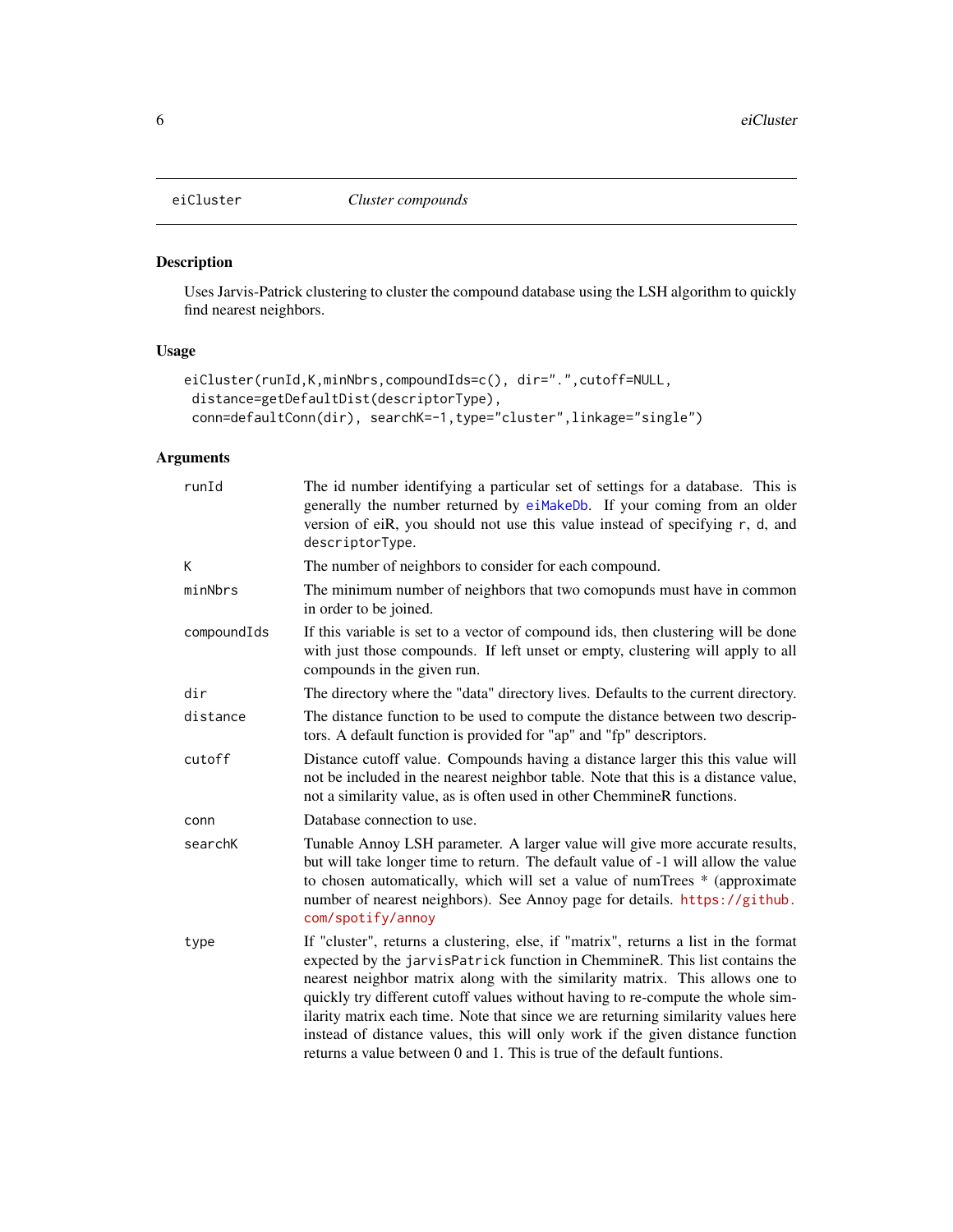<span id="page-5-1"></span><span id="page-5-0"></span>

# Description

Uses Jarvis-Patrick clustering to cluster the compound database using the LSH algorithm to quickly find nearest neighbors.

# Usage

```
eiCluster(runId,K,minNbrs,compoundIds=c(), dir=".",cutoff=NULL,
distance=getDefaultDist(descriptorType),
conn=defaultConn(dir), searchK=-1,type="cluster",linkage="single")
```

| runId       | The id number identifying a particular set of settings for a database. This is<br>generally the number returned by eiMakeDb. If your coming from an older<br>version of eiR, you should not use this value instead of specifying r, d, and<br>descriptorType.                                                                                                                                                                                                                                                                                                                          |
|-------------|----------------------------------------------------------------------------------------------------------------------------------------------------------------------------------------------------------------------------------------------------------------------------------------------------------------------------------------------------------------------------------------------------------------------------------------------------------------------------------------------------------------------------------------------------------------------------------------|
| К           | The number of neighbors to consider for each compound.                                                                                                                                                                                                                                                                                                                                                                                                                                                                                                                                 |
| minNbrs     | The minimum number of neighbors that two comopunds must have in common<br>in order to be joined.                                                                                                                                                                                                                                                                                                                                                                                                                                                                                       |
| compoundIds | If this variable is set to a vector of compound ids, then clustering will be done<br>with just those compounds. If left unset or empty, clustering will apply to all<br>compounds in the given run.                                                                                                                                                                                                                                                                                                                                                                                    |
| dir         | The directory where the "data" directory lives. Defaults to the current directory.                                                                                                                                                                                                                                                                                                                                                                                                                                                                                                     |
| distance    | The distance function to be used to compute the distance between two descrip-<br>tors. A default function is provided for "ap" and "fp" descriptors.                                                                                                                                                                                                                                                                                                                                                                                                                                   |
| cutoff      | Distance cutoff value. Compounds having a distance larger this this value will<br>not be included in the nearest neighbor table. Note that this is a distance value,<br>not a similarity value, as is often used in other ChemmineR functions.                                                                                                                                                                                                                                                                                                                                         |
| conn        | Database connection to use.                                                                                                                                                                                                                                                                                                                                                                                                                                                                                                                                                            |
| searchK     | Tunable Annoy LSH parameter. A larger value will give more accurate results,<br>but will take longer time to return. The default value of -1 will allow the value<br>to chosen automatically, which will set a value of numTrees * (approximate<br>number of nearest neighbors). See Annoy page for details. https://github.<br>com/spotify/annoy                                                                                                                                                                                                                                      |
| type        | If "cluster", returns a clustering, else, if "matrix", returns a list in the format<br>expected by the jarvisPatrick function in ChemmineR. This list contains the<br>nearest neighbor matrix along with the similarity matrix. This allows one to<br>quickly try different cutoff values without having to re-compute the whole sim-<br>ilarity matrix each time. Note that since we are returning similarity values here<br>instead of distance values, this will only work if the given distance function<br>returns a value between 0 and 1. This is true of the default funtions. |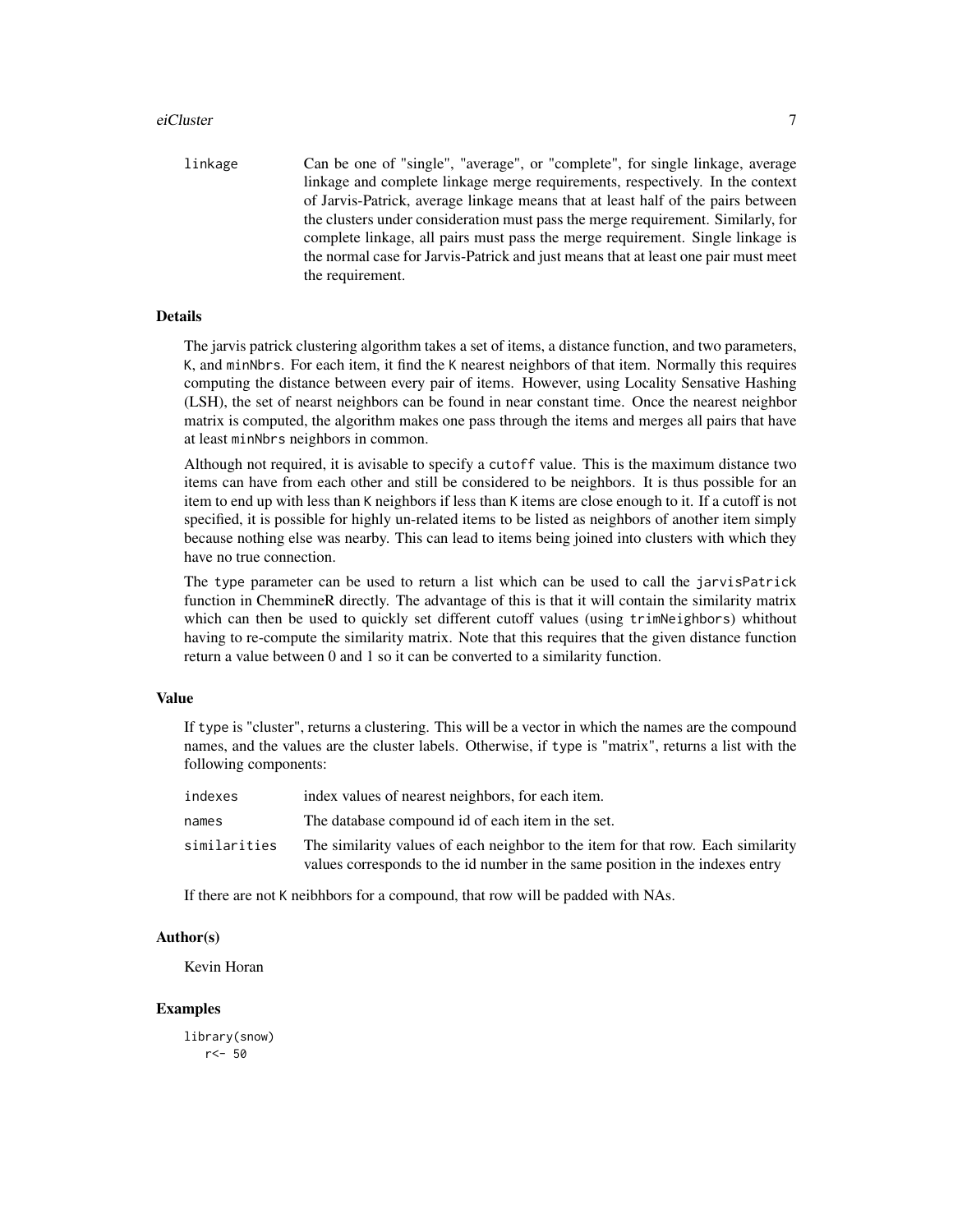#### eiCluster 7 and 7 and 7 and 7 and 7 and 7 and 7 and 7 and 7 and 7 and 7 and 7 and 7 and 7 and 7 and 7 and 7 and 7 and 7 and 7 and 7 and 7 and 7 and 7 and 7 and 7 and 7 and 7 and 7 and 7 and 7 and 7 and 7 and 7 and 7 and 7

linkage Can be one of "single", "average", or "complete", for single linkage, average linkage and complete linkage merge requirements, respectively. In the context of Jarvis-Patrick, average linkage means that at least half of the pairs between the clusters under consideration must pass the merge requirement. Similarly, for complete linkage, all pairs must pass the merge requirement. Single linkage is the normal case for Jarvis-Patrick and just means that at least one pair must meet the requirement.

# Details

The jarvis patrick clustering algorithm takes a set of items, a distance function, and two parameters, K, and minNbrs. For each item, it find the K nearest neighbors of that item. Normally this requires computing the distance between every pair of items. However, using Locality Sensative Hashing (LSH), the set of nearst neighbors can be found in near constant time. Once the nearest neighbor matrix is computed, the algorithm makes one pass through the items and merges all pairs that have at least minNbrs neighbors in common.

Although not required, it is avisable to specify a cutoff value. This is the maximum distance two items can have from each other and still be considered to be neighbors. It is thus possible for an item to end up with less than K neighbors if less than K items are close enough to it. If a cutoff is not specified, it is possible for highly un-related items to be listed as neighbors of another item simply because nothing else was nearby. This can lead to items being joined into clusters with which they have no true connection.

The type parameter can be used to return a list which can be used to call the jarvisPatrick function in ChemmineR directly. The advantage of this is that it will contain the similarity matrix which can then be used to quickly set different cutoff values (using trimNeighbors) whithout having to re-compute the similarity matrix. Note that this requires that the given distance function return a value between 0 and 1 so it can be converted to a similarity function.

#### Value

If type is "cluster", returns a clustering. This will be a vector in which the names are the compound names, and the values are the cluster labels. Otherwise, if type is "matrix", returns a list with the following components:

| indexes      | index values of nearest neighbors, for each item.                                                                                                                 |
|--------------|-------------------------------------------------------------------------------------------------------------------------------------------------------------------|
| names        | The database compound id of each item in the set.                                                                                                                 |
| similarities | The similarity values of each neighbor to the item for that row. Each similarity<br>values corresponds to the id number in the same position in the indexes entry |

If there are not K neibhbors for a compound, that row will be padded with NAs.

#### Author(s)

Kevin Horan

#### Examples

library(snow) r<- 50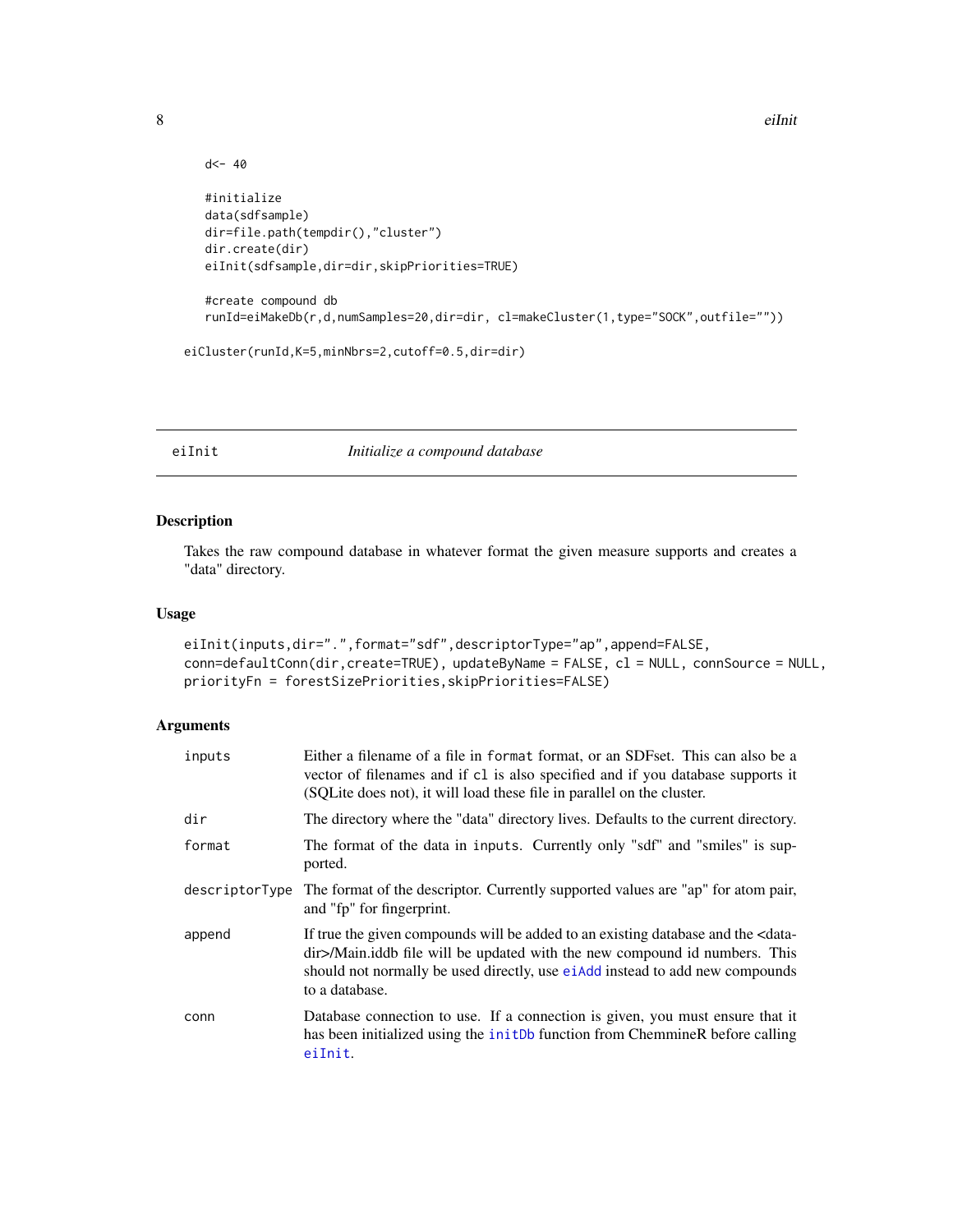```
8 eine eilande stadt der andere eilande stadt der andere stadt der andere stadt der andere stadt der andere st
```

```
d<- 40
  #initialize
  data(sdfsample)
  dir=file.path(tempdir(),"cluster")
  dir.create(dir)
  eiInit(sdfsample,dir=dir,skipPriorities=TRUE)
  #create compound db
  runId=eiMakeDb(r,d,numSamples=20,dir=dir, cl=makeCluster(1,type="SOCK",outfile=""))
eiCluster(runId,K=5,minNbrs=2,cutoff=0.5,dir=dir)
```
#### <span id="page-7-1"></span>eiInit *Initialize a compound database*

# Description

Takes the raw compound database in whatever format the given measure supports and creates a "data" directory.

# Usage

```
eiInit(inputs,dir=".",format="sdf",descriptorType="ap",append=FALSE,
conn=defaultConn(dir,create=TRUE), updateByName = FALSE, cl = NULL, connSource = NULL,
priorityFn = forestSizePriorities,skipPriorities=FALSE)
```

| inputs         | Either a filename of a file in format format, or an SDF set. This can also be a<br>vector of filenames and if cl is also specified and if you database supports it<br>(SQLite does not), it will load these file in parallel on the cluster.                                     |
|----------------|----------------------------------------------------------------------------------------------------------------------------------------------------------------------------------------------------------------------------------------------------------------------------------|
| dir            | The directory where the "data" directory lives. Defaults to the current directory.                                                                                                                                                                                               |
| format         | The format of the data in inputs. Currently only "sdf" and "smiles" is sup-<br>ported.                                                                                                                                                                                           |
| descriptorType | The format of the descriptor. Currently supported values are "ap" for atom pair,<br>and "fp" for fingerprint.                                                                                                                                                                    |
| append         | If true the given compounds will be added to an existing database and the <data-<br>dir&gt;/Main.iddb file will be updated with the new compound id numbers. This<br/>should not normally be used directly, use eiAdd instead to add new compounds<br/>to a database.</data-<br> |
| conn           | Database connection to use. If a connection is given, you must ensure that it<br>has been initialized using the initDb function from ChemmineR before calling<br>eiInit.                                                                                                         |

<span id="page-7-0"></span>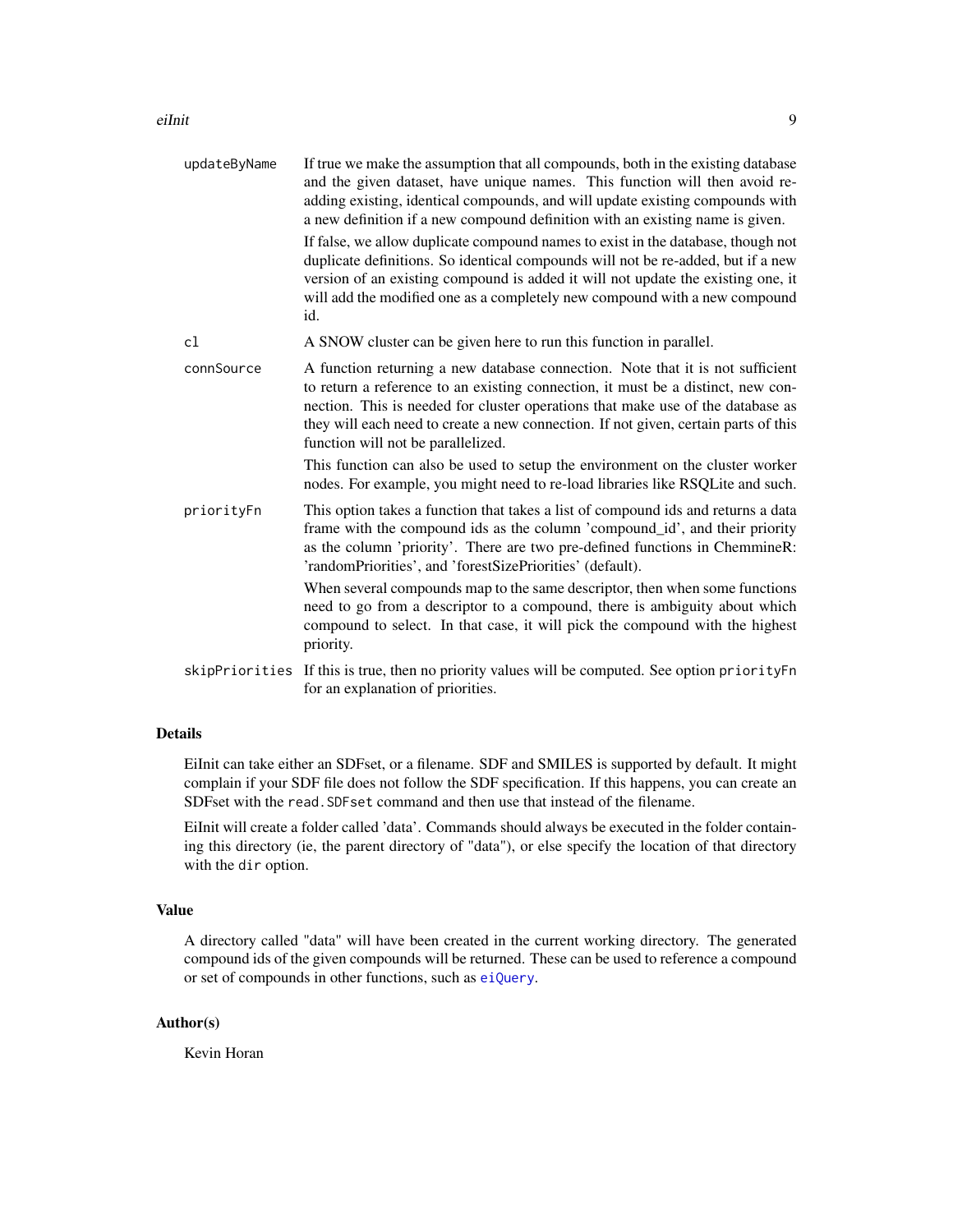#### <span id="page-8-0"></span>eiInit 9

| updateByName | If true we make the assumption that all compounds, both in the existing database<br>and the given dataset, have unique names. This function will then avoid re-<br>adding existing, identical compounds, and will update existing compounds with<br>a new definition if a new compound definition with an existing name is given.                                                  |
|--------------|------------------------------------------------------------------------------------------------------------------------------------------------------------------------------------------------------------------------------------------------------------------------------------------------------------------------------------------------------------------------------------|
|              | If false, we allow duplicate compound names to exist in the database, though not<br>duplicate definitions. So identical compounds will not be re-added, but if a new<br>version of an existing compound is added it will not update the existing one, it<br>will add the modified one as a completely new compound with a new compound<br>id.                                      |
| cl           | A SNOW cluster can be given here to run this function in parallel.                                                                                                                                                                                                                                                                                                                 |
| connSource   | A function returning a new database connection. Note that it is not sufficient<br>to return a reference to an existing connection, it must be a distinct, new con-<br>nection. This is needed for cluster operations that make use of the database as<br>they will each need to create a new connection. If not given, certain parts of this<br>function will not be parallelized. |
|              | This function can also be used to setup the environment on the cluster worker<br>nodes. For example, you might need to re-load libraries like RSQLite and such.                                                                                                                                                                                                                    |
| priorityFn   | This option takes a function that takes a list of compound ids and returns a data<br>frame with the compound ids as the column 'compound_id', and their priority<br>as the column 'priority'. There are two pre-defined functions in ChemmineR:<br>'randomPriorities', and 'forestSizePriorities' (default).                                                                       |
|              | When several compounds map to the same descriptor, then when some functions<br>need to go from a descriptor to a compound, there is ambiguity about which<br>compound to select. In that case, it will pick the compound with the highest<br>priority.                                                                                                                             |
|              | skipPriorities If this is true, then no priority values will be computed. See option priorityFn<br>for an explanation of priorities.                                                                                                                                                                                                                                               |

# Details

EiInit can take either an SDFset, or a filename. SDF and SMILES is supported by default. It might complain if your SDF file does not follow the SDF specification. If this happens, you can create an SDFset with the read.SDFset command and then use that instead of the filename.

EiInit will create a folder called 'data'. Commands should always be executed in the folder containing this directory (ie, the parent directory of "data"), or else specify the location of that directory with the dir option.

### Value

A directory called "data" will have been created in the current working directory. The generated compound ids of the given compounds will be returned. These can be used to reference a compound or set of compounds in other functions, such as [eiQuery](#page-13-1).

### Author(s)

Kevin Horan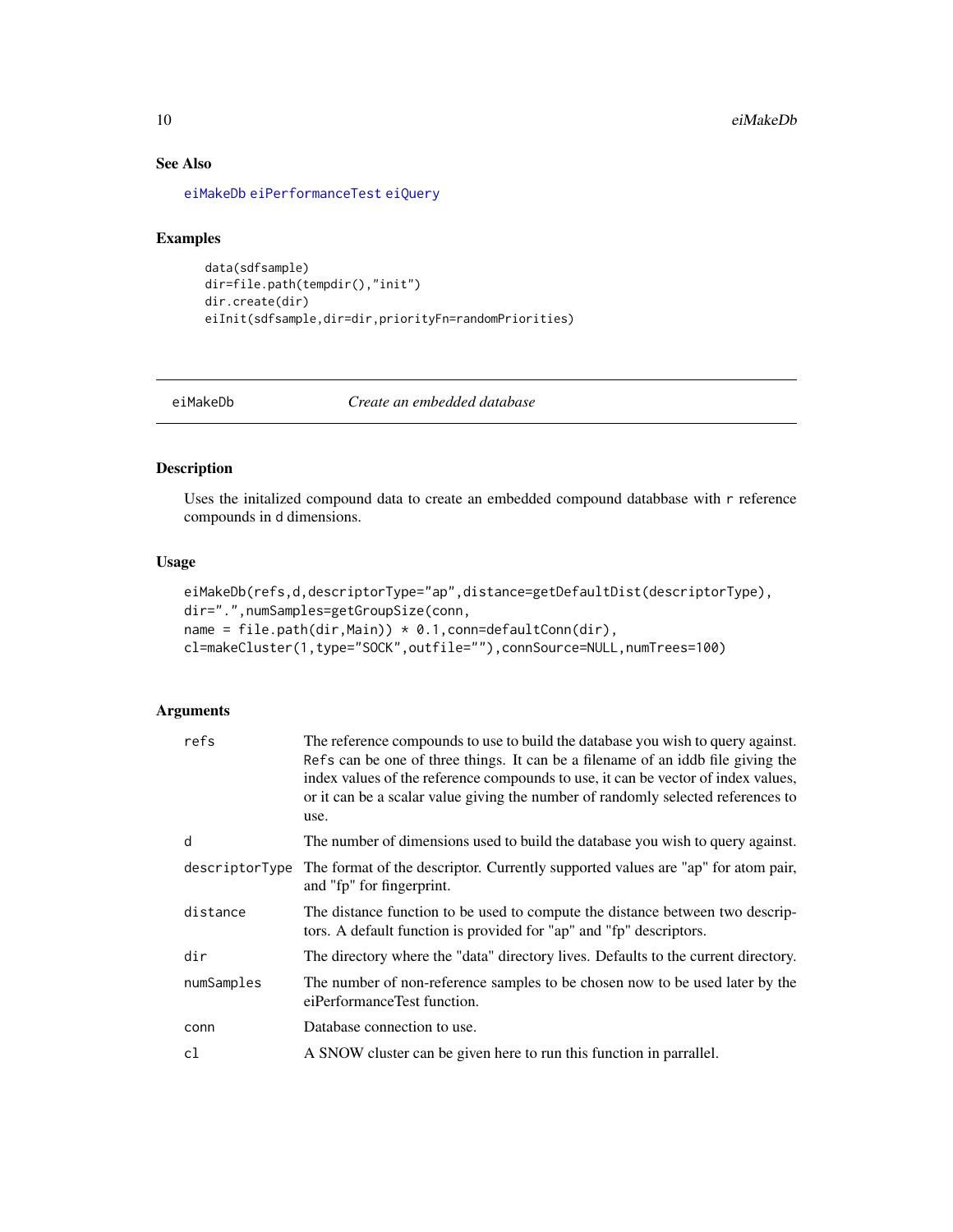# See Also

[eiMakeDb](#page-9-1) [eiPerformanceTest](#page-11-1) [eiQuery](#page-13-1)

# Examples

```
data(sdfsample)
dir=file.path(tempdir(),"init")
dir.create(dir)
eiInit(sdfsample,dir=dir,priorityFn=randomPriorities)
```
<span id="page-9-1"></span>

eiMakeDb *Create an embedded database*

#### Description

Uses the initalized compound data to create an embedded compound databbase with r reference compounds in d dimensions.

#### Usage

```
eiMakeDb(refs,d,descriptorType="ap",distance=getDefaultDist(descriptorType),
dir=".",numSamples=getGroupSize(conn,
name = file.path(dir, Main)) * 0.1, conn=defaultConn(dir),
cl=makeCluster(1,type="SOCK",outfile=""),connSource=NULL,numTrees=100)
```

| refs           | The reference compounds to use to build the database you wish to query against.<br>Refs can be one of three things. It can be a filename of an iddb file giving the<br>index values of the reference compounds to use, it can be vector of index values,<br>or it can be a scalar value giving the number of randomly selected references to<br>use. |
|----------------|------------------------------------------------------------------------------------------------------------------------------------------------------------------------------------------------------------------------------------------------------------------------------------------------------------------------------------------------------|
| d              | The number of dimensions used to build the database you wish to query against.                                                                                                                                                                                                                                                                       |
| descriptorType | The format of the descriptor. Currently supported values are "ap" for atom pair,<br>and "fp" for fingerprint.                                                                                                                                                                                                                                        |
| distance       | The distance function to be used to compute the distance between two descrip-<br>tors. A default function is provided for "ap" and "fp" descriptors.                                                                                                                                                                                                 |
| dir            | The directory where the "data" directory lives. Defaults to the current directory.                                                                                                                                                                                                                                                                   |
| numSamples     | The number of non-reference samples to be chosen now to be used later by the<br>eiPerformanceTest function.                                                                                                                                                                                                                                          |
| conn           | Database connection to use.                                                                                                                                                                                                                                                                                                                          |
| c1             | A SNOW cluster can be given here to run this function in parrallel.                                                                                                                                                                                                                                                                                  |

<span id="page-9-0"></span>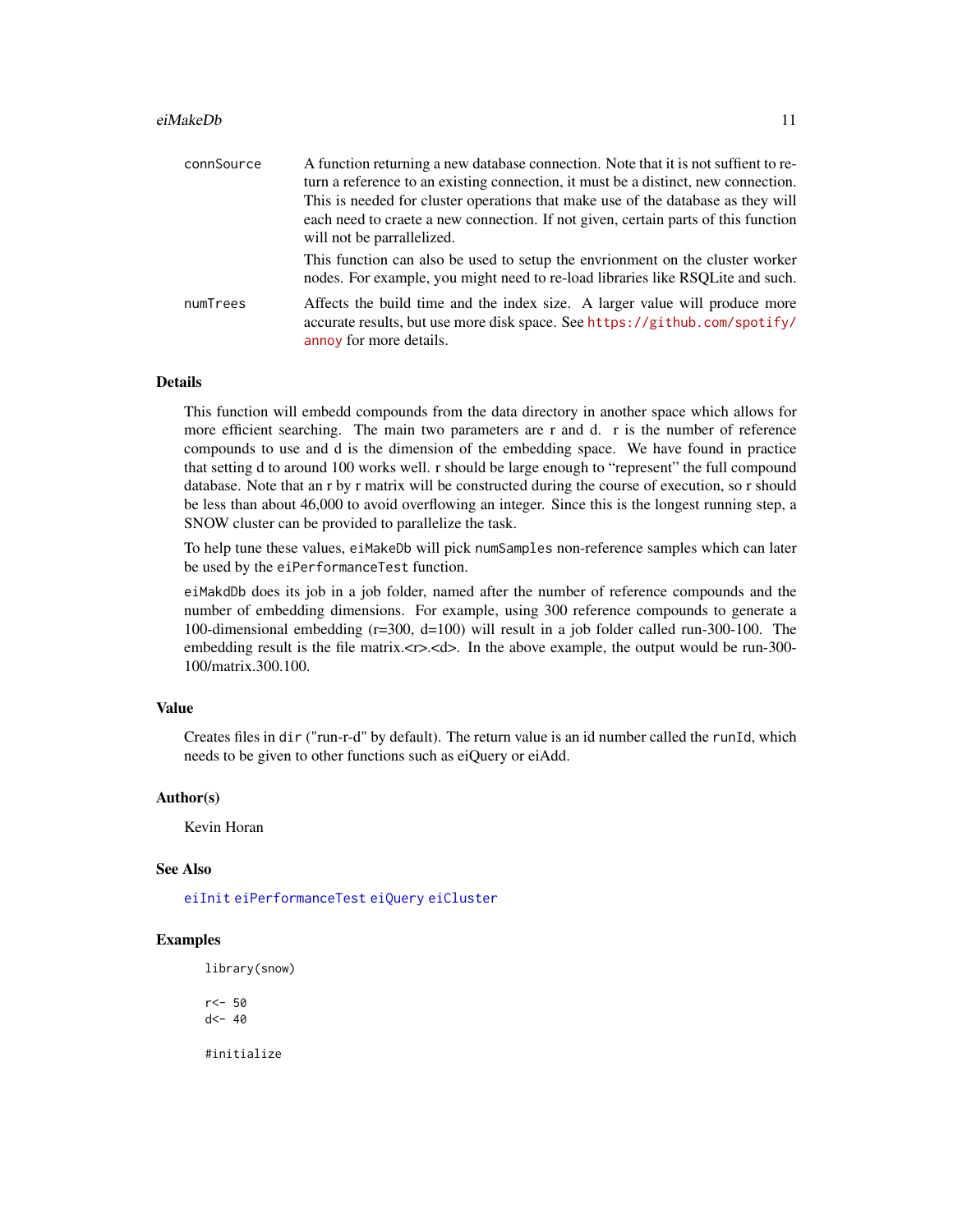#### <span id="page-10-0"></span>eiMakeDb 11

| connSource | A function returning a new database connection. Note that it is not suffient to re-<br>turn a reference to an existing connection, it must be a distinct, new connection.<br>This is needed for cluster operations that make use of the database as they will<br>each need to craete a new connection. If not given, certain parts of this function<br>will not be parrallelized. |
|------------|-----------------------------------------------------------------------------------------------------------------------------------------------------------------------------------------------------------------------------------------------------------------------------------------------------------------------------------------------------------------------------------|
|            | This function can also be used to setup the envrionment on the cluster worker<br>nodes. For example, you might need to re-load libraries like RSQLite and such.                                                                                                                                                                                                                   |
| numTrees   | Affects the build time and the index size. A larger value will produce more<br>accurate results, but use more disk space. See https://github.com/spotify/<br>annoy for more details.                                                                                                                                                                                              |

#### Details

This function will embedd compounds from the data directory in another space which allows for more efficient searching. The main two parameters are r and d. r is the number of reference compounds to use and d is the dimension of the embedding space. We have found in practice that setting d to around 100 works well. r should be large enough to "represent" the full compound database. Note that an r by r matrix will be constructed during the course of execution, so r should be less than about 46,000 to avoid overflowing an integer. Since this is the longest running step, a SNOW cluster can be provided to parallelize the task.

To help tune these values, eiMakeDb will pick numSamples non-reference samples which can later be used by the eiPerformanceTest function.

eiMakdDb does its job in a job folder, named after the number of reference compounds and the number of embedding dimensions. For example, using 300 reference compounds to generate a 100-dimensional embedding (r=300, d=100) will result in a job folder called run-300-100. The embedding result is the file matrix. $\langle x \rangle$ . In the above example, the output would be run-300-100/matrix.300.100.

#### Value

Creates files in dir ("run-r-d" by default). The return value is an id number called the runId, which needs to be given to other functions such as eiQuery or eiAdd.

# Author(s)

Kevin Horan

### See Also

[eiInit](#page-7-1) [eiPerformanceTest](#page-11-1) [eiQuery](#page-13-1) [eiCluster](#page-5-1)

#### Examples

library(snow)

r<- 50  $d$  <- 40

#initialize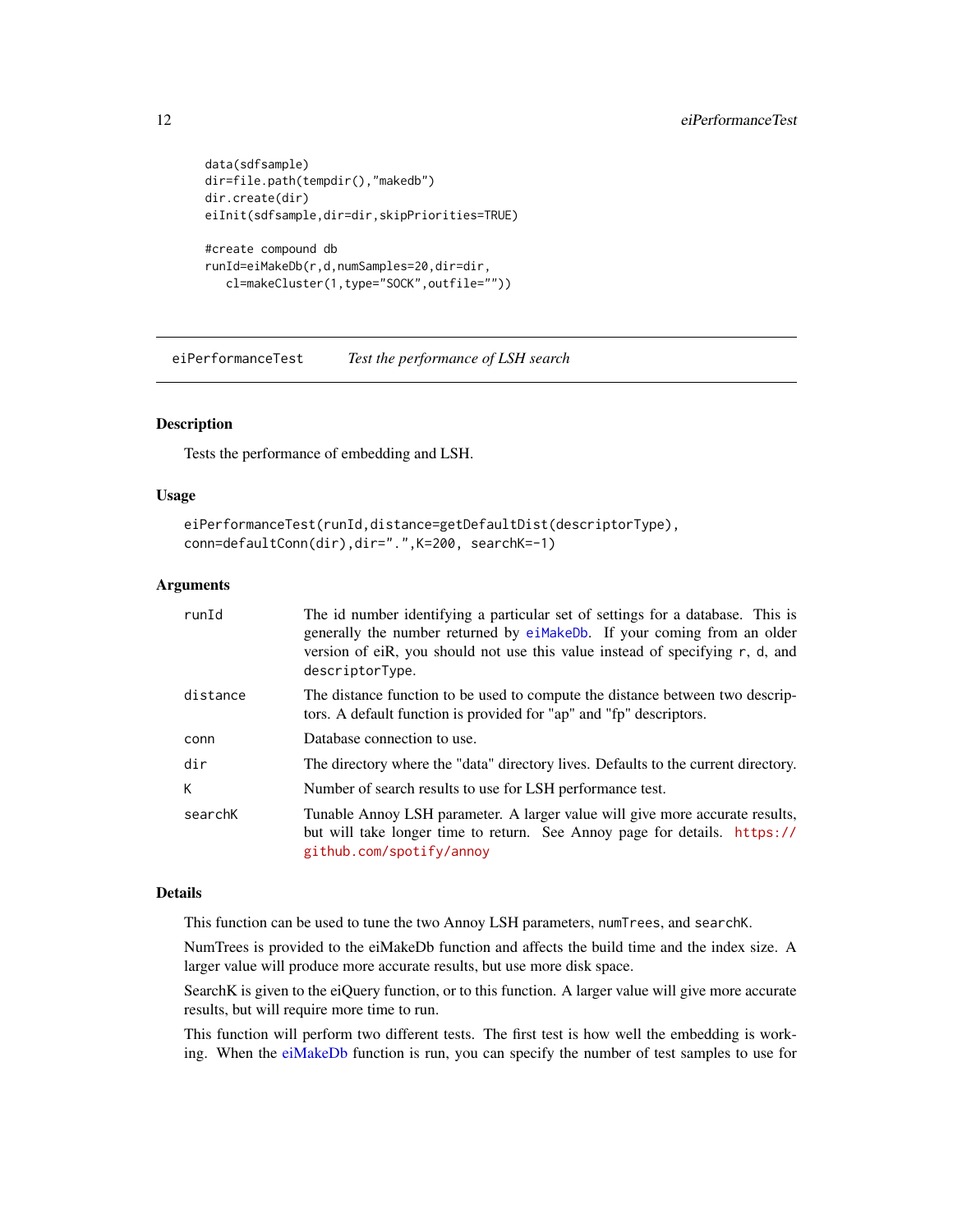```
data(sdfsample)
dir=file.path(tempdir(),"makedb")
dir.create(dir)
eiInit(sdfsample,dir=dir,skipPriorities=TRUE)
#create compound db
runId=eiMakeDb(r,d,numSamples=20,dir=dir,
   cl=makeCluster(1,type="SOCK",outfile=""))
```
<span id="page-11-1"></span>eiPerformanceTest *Test the performance of LSH search*

#### Description

Tests the performance of embedding and LSH.

#### Usage

```
eiPerformanceTest(runId,distance=getDefaultDist(descriptorType),
conn=defaultConn(dir),dir=".",K=200, searchK=-1)
```
#### Arguments

| runId    | The id number identifying a particular set of settings for a database. This is<br>generally the number returned by eiMakeDb. If your coming from an older<br>version of eiR, you should not use this value instead of specifying r, d, and<br>descriptorType. |
|----------|---------------------------------------------------------------------------------------------------------------------------------------------------------------------------------------------------------------------------------------------------------------|
| distance | The distance function to be used to compute the distance between two descrip-<br>tors. A default function is provided for "ap" and "fp" descriptors.                                                                                                          |
| conn     | Database connection to use.                                                                                                                                                                                                                                   |
| dir      | The directory where the "data" directory lives. Defaults to the current directory.                                                                                                                                                                            |
| K.       | Number of search results to use for LSH performance test.                                                                                                                                                                                                     |
| searchK  | Tunable Annoy LSH parameter. A larger value will give more accurate results,<br>but will take longer time to return. See Annoy page for details. https://<br>github.com/spotify/annoy                                                                         |

#### Details

This function can be used to tune the two Annoy LSH parameters, numTrees, and searchK.

NumTrees is provided to the eiMakeDb function and affects the build time and the index size. A larger value will produce more accurate results, but use more disk space.

SearchK is given to the eiQuery function, or to this function. A larger value will give more accurate results, but will require more time to run.

This function will perform two different tests. The first test is how well the embedding is working. When the [eiMakeDb](#page-9-1) function is run, you can specify the number of test samples to use for

<span id="page-11-0"></span>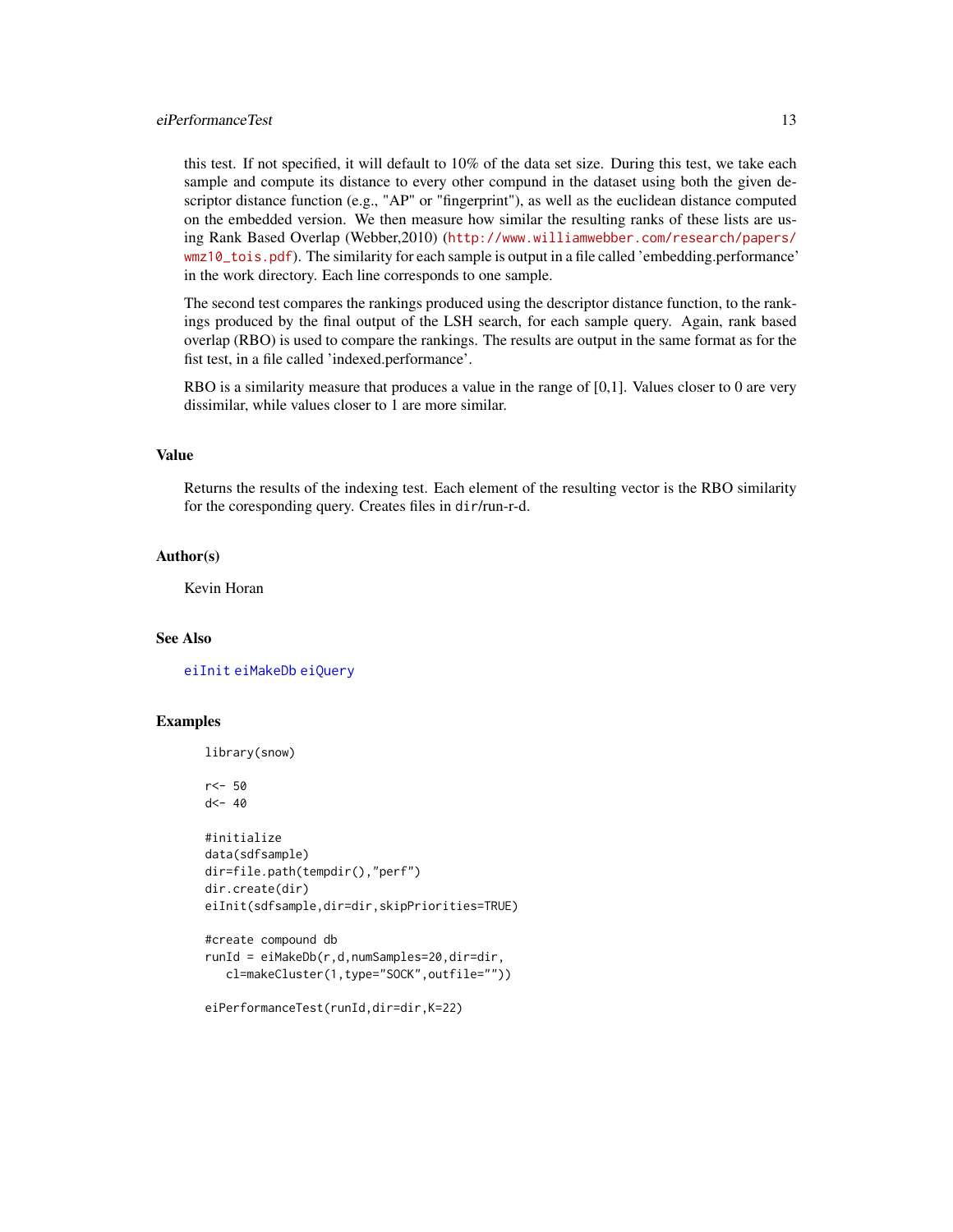# <span id="page-12-0"></span>eiPerformanceTest 13

this test. If not specified, it will default to 10% of the data set size. During this test, we take each sample and compute its distance to every other compund in the dataset using both the given descriptor distance function (e.g., "AP" or "fingerprint"), as well as the euclidean distance computed on the embedded version. We then measure how similar the resulting ranks of these lists are using Rank Based Overlap (Webber,2010) ([http://www.williamwebber.com/research/papers/](http://www.williamwebber.com/research/papers/wmz10_tois.pdf) [wmz10\\_tois.pdf](http://www.williamwebber.com/research/papers/wmz10_tois.pdf)). The similarity for each sample is output in a file called 'embedding.performance' in the work directory. Each line corresponds to one sample.

The second test compares the rankings produced using the descriptor distance function, to the rankings produced by the final output of the LSH search, for each sample query. Again, rank based overlap (RBO) is used to compare the rankings. The results are output in the same format as for the fist test, in a file called 'indexed.performance'.

RBO is a similarity measure that produces a value in the range of [0,1]. Values closer to 0 are very dissimilar, while values closer to 1 are more similar.

#### Value

Returns the results of the indexing test. Each element of the resulting vector is the RBO similarity for the coresponding query. Creates files in dir/run-r-d.

# Author(s)

Kevin Horan

# See Also

[eiInit](#page-7-1) [eiMakeDb](#page-9-1) [eiQuery](#page-13-1)

#### Examples

library(snow)

r<- 50  $d$  <- 40

```
#initialize
data(sdfsample)
dir=file.path(tempdir(),"perf")
dir.create(dir)
eiInit(sdfsample,dir=dir,skipPriorities=TRUE)
```

```
#create compound db
runId = eiMakeDb(r,d,numSamples=20,dir=dir,
   cl=makeCluster(1,type="SOCK",outfile=""))
```

```
eiPerformanceTest(runId,dir=dir,K=22)
```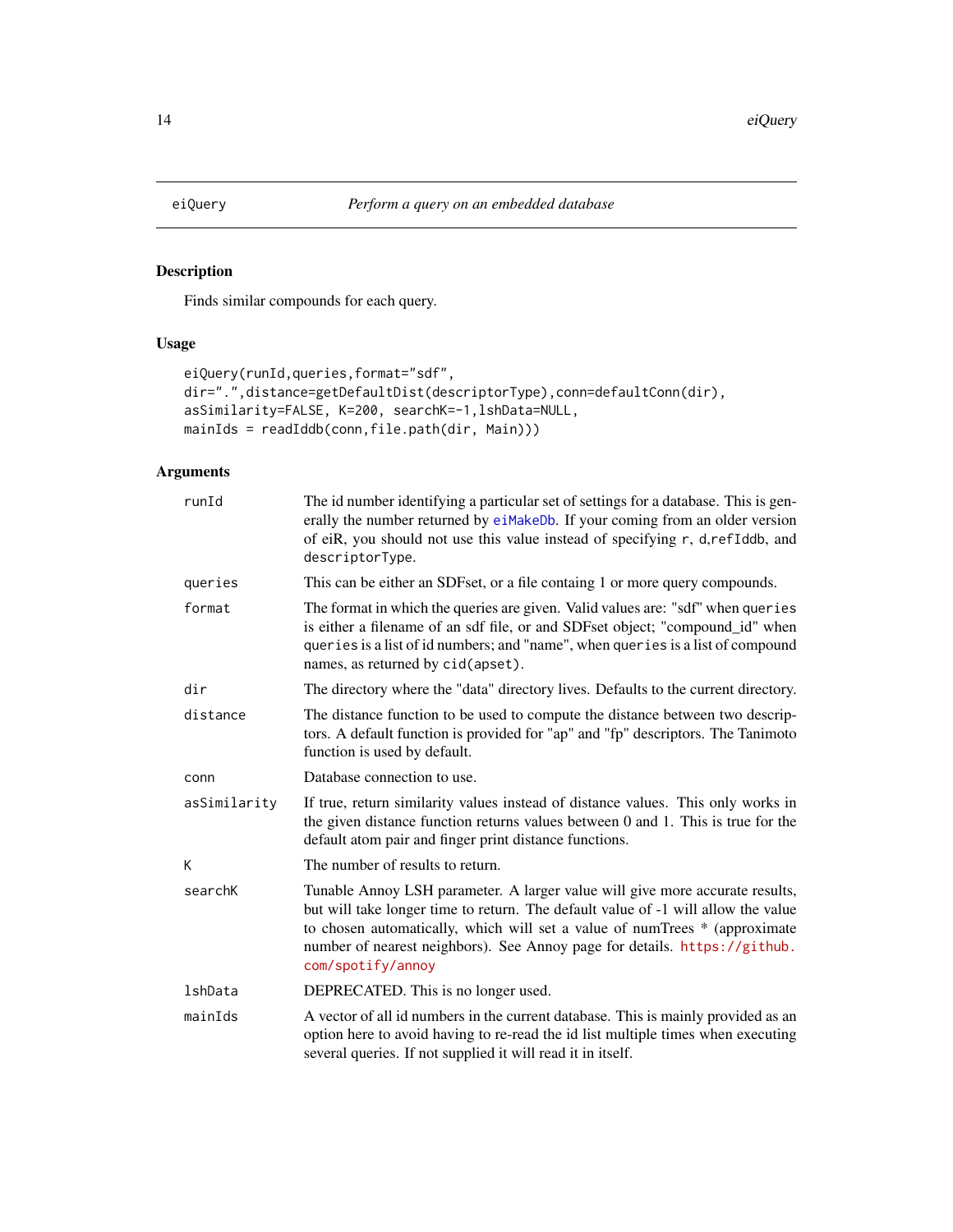<span id="page-13-1"></span><span id="page-13-0"></span>

# Description

Finds similar compounds for each query.

# Usage

```
eiQuery(runId,queries,format="sdf",
dir=".",distance=getDefaultDist(descriptorType),conn=defaultConn(dir),
asSimilarity=FALSE, K=200, searchK=-1,lshData=NULL,
mainIds = readIddb(conn,file.path(dir, Main)))
```

| runId        | The id number identifying a particular set of settings for a database. This is gen-<br>erally the number returned by eiMakeDb. If your coming from an older version<br>of eiR, you should not use this value instead of specifying r, d, refIddb, and<br>descriptorType.                                                                          |
|--------------|---------------------------------------------------------------------------------------------------------------------------------------------------------------------------------------------------------------------------------------------------------------------------------------------------------------------------------------------------|
| queries      | This can be either an SDFset, or a file containg 1 or more query compounds.                                                                                                                                                                                                                                                                       |
| format       | The format in which the queries are given. Valid values are: "sdf" when queries<br>is either a filename of an sdf file, or and SDFset object; "compound_id" when<br>queries is a list of id numbers; and "name", when queries is a list of compound<br>names, as returned by cid(apset).                                                          |
| dir          | The directory where the "data" directory lives. Defaults to the current directory.                                                                                                                                                                                                                                                                |
| distance     | The distance function to be used to compute the distance between two descrip-<br>tors. A default function is provided for "ap" and "fp" descriptors. The Tanimoto<br>function is used by default.                                                                                                                                                 |
| conn         | Database connection to use.                                                                                                                                                                                                                                                                                                                       |
| asSimilarity | If true, return similarity values instead of distance values. This only works in<br>the given distance function returns values between $0$ and $1$ . This is true for the<br>default atom pair and finger print distance functions.                                                                                                               |
| K            | The number of results to return.                                                                                                                                                                                                                                                                                                                  |
| searchK      | Tunable Annoy LSH parameter. A larger value will give more accurate results,<br>but will take longer time to return. The default value of -1 will allow the value<br>to chosen automatically, which will set a value of numTrees * (approximate<br>number of nearest neighbors). See Annoy page for details. https://github.<br>com/spotify/annoy |
| lshData      | DEPRECATED. This is no longer used.                                                                                                                                                                                                                                                                                                               |
| mainIds      | A vector of all id numbers in the current database. This is mainly provided as an<br>option here to avoid having to re-read the id list multiple times when executing<br>several queries. If not supplied it will read it in itself.                                                                                                              |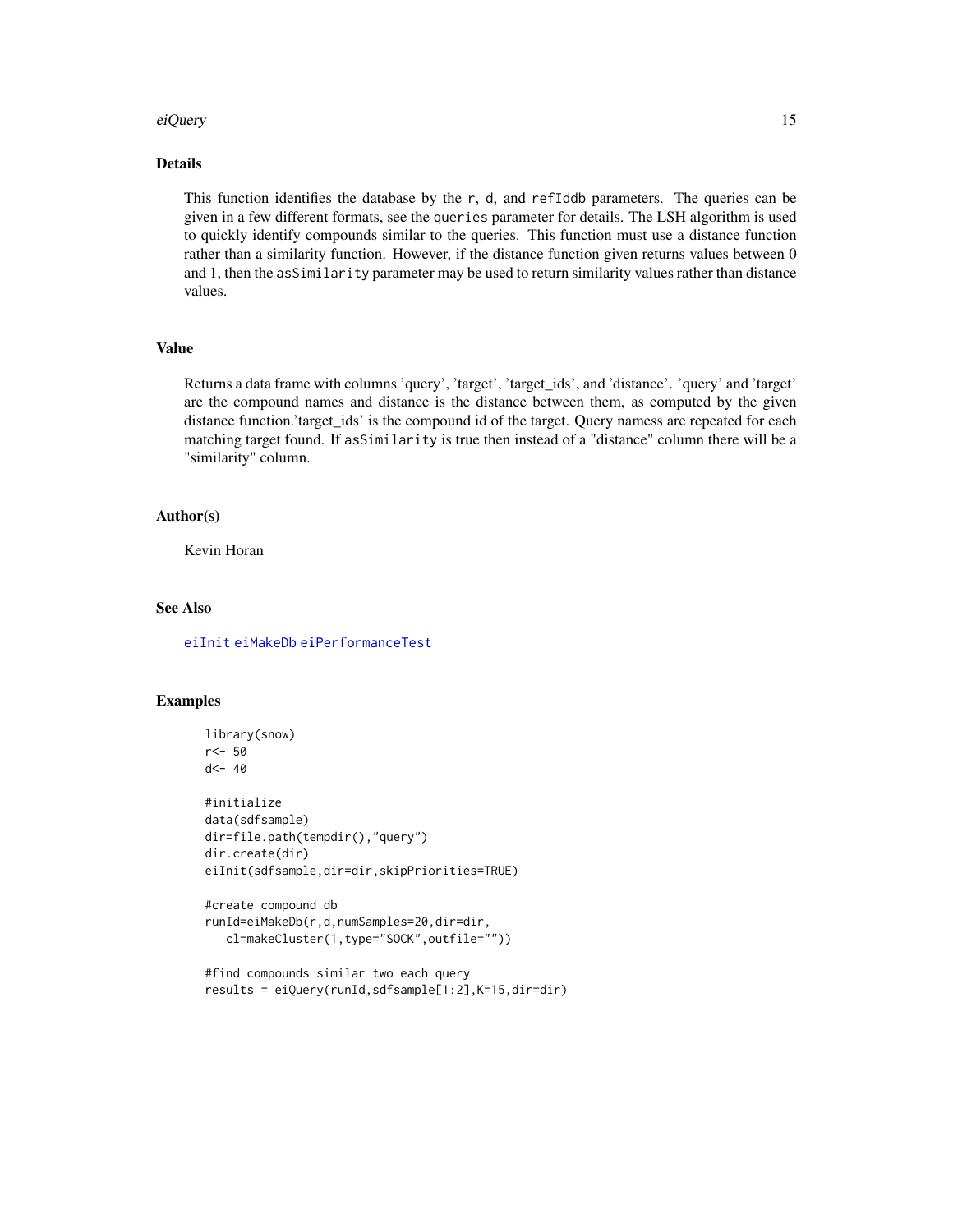#### <span id="page-14-0"></span>eiQuery 15

# Details

This function identifies the database by the r, d, and refIddb parameters. The queries can be given in a few different formats, see the queries parameter for details. The LSH algorithm is used to quickly identify compounds similar to the queries. This function must use a distance function rather than a similarity function. However, if the distance function given returns values between 0 and 1, then the asSimilarity parameter may be used to return similarity values rather than distance values.

#### Value

Returns a data frame with columns 'query', 'target', 'target\_ids', and 'distance'. 'query' and 'target' are the compound names and distance is the distance between them, as computed by the given distance function.'target\_ids' is the compound id of the target. Query namess are repeated for each matching target found. If asSimilarity is true then instead of a "distance" column there will be a "similarity" column.

#### Author(s)

Kevin Horan

# See Also

[eiInit](#page-7-1) [eiMakeDb](#page-9-1) [eiPerformanceTest](#page-11-1)

# Examples

```
library(snow)
r<- 50
d <- 40
#initialize
data(sdfsample)
dir=file.path(tempdir(),"query")
dir.create(dir)
eiInit(sdfsample,dir=dir,skipPriorities=TRUE)
#create compound db
runId=eiMakeDb(r,d,numSamples=20,dir=dir,
   cl=makeCluster(1,type="SOCK",outfile=""))
```

```
#find compounds similar two each query
results = eiQuery(runId,sdfsample[1:2],K=15,dir=dir)
```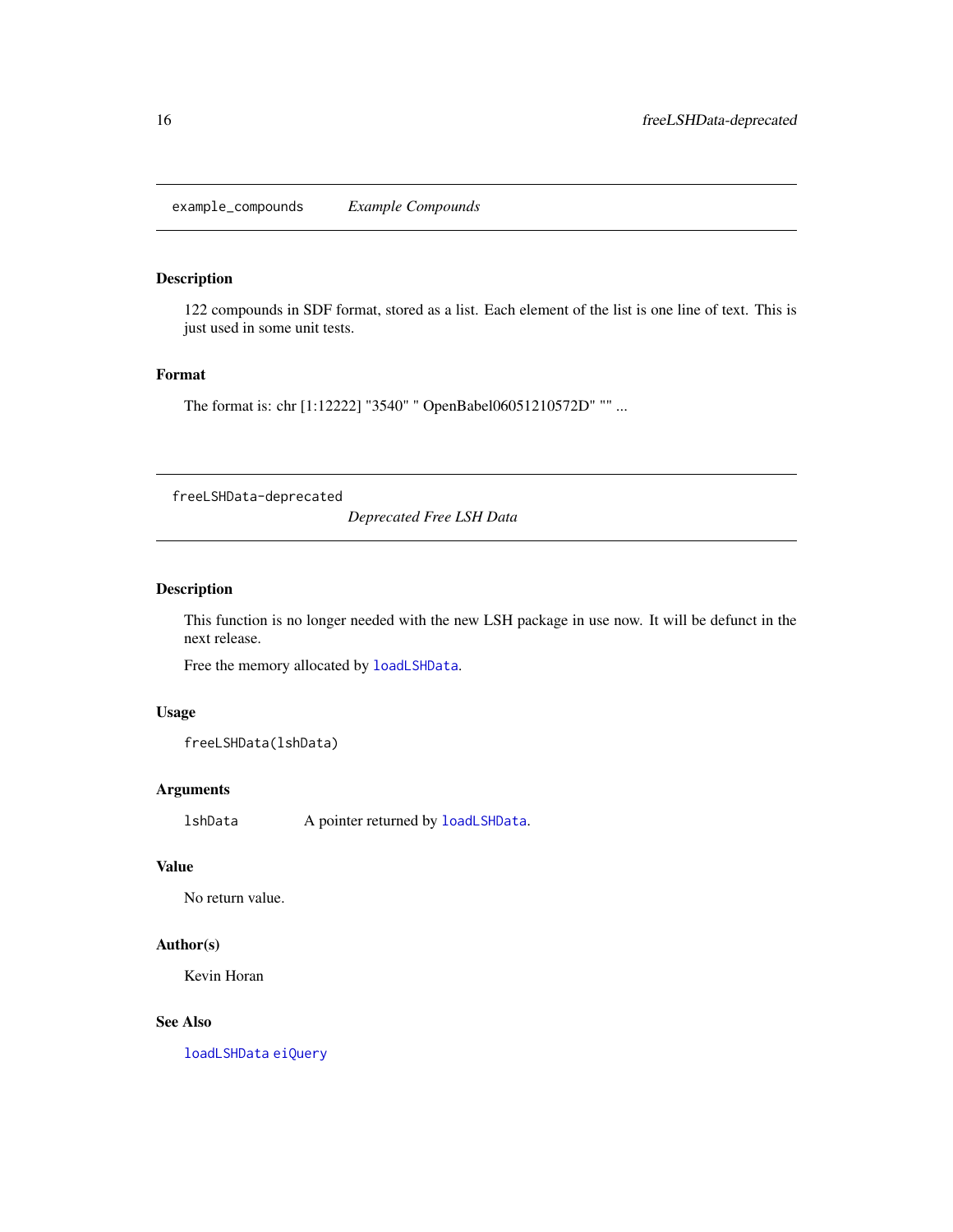<span id="page-15-0"></span>example\_compounds *Example Compounds*

# Description

122 compounds in SDF format, stored as a list. Each element of the list is one line of text. This is just used in some unit tests.

# Format

The format is: chr [1:12222] "3540" " OpenBabel06051210572D" "" ...

freeLSHData-deprecated

*Deprecated Free LSH Data*

# <span id="page-15-1"></span>Description

This function is no longer needed with the new LSH package in use now. It will be defunct in the next release.

Free the memory allocated by [loadLSHData](#page-16-1).

# Usage

```
freeLSHData(lshData)
```
#### Arguments

lshData A pointer returned by [loadLSHData](#page-16-1).

#### Value

No return value.

# Author(s)

Kevin Horan

#### See Also

[loadLSHData](#page-16-1) [eiQuery](#page-13-1)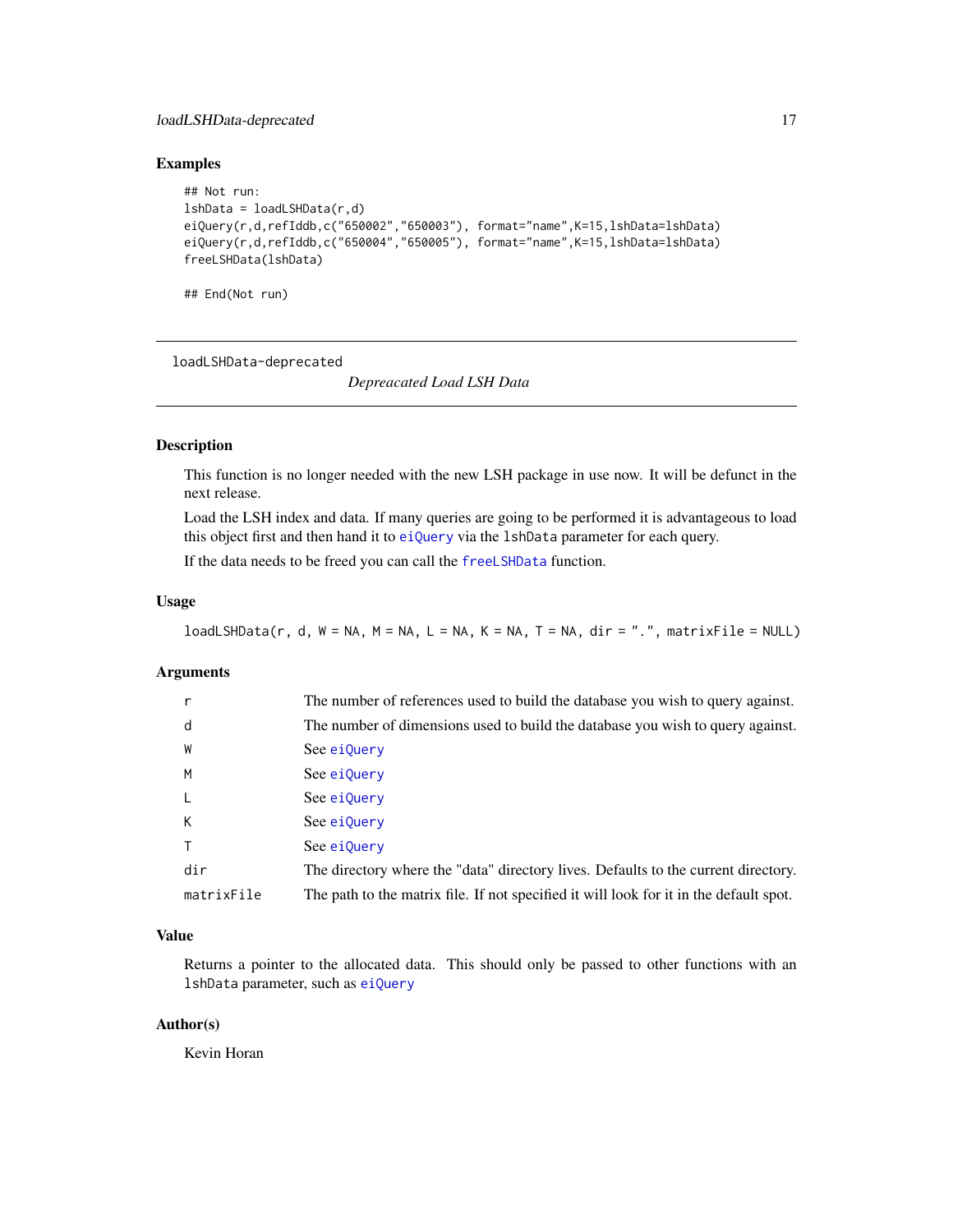# <span id="page-16-0"></span>loadLSHData-deprecated 17

# Examples

```
## Not run:
lshData = loadLSHData(r,d)eiQuery(r,d,refIddb,c("650002","650003"), format="name",K=15,lshData=lshData)
eiQuery(r,d,refIddb,c("650004","650005"), format="name",K=15,lshData=lshData)
freeLSHData(lshData)
```
## End(Not run)

loadLSHData-deprecated

*Depreacated Load LSH Data*

# <span id="page-16-1"></span>Description

This function is no longer needed with the new LSH package in use now. It will be defunct in the next release.

Load the LSH index and data. If many queries are going to be performed it is advantageous to load this object first and then hand it to [eiQuery](#page-13-1) via the 1shData parameter for each query.

If the data needs to be freed you can call the [freeLSHData](#page-15-1) function.

# Usage

 $loadLSHData(r, d, W = NA, M = NA, L = NA, K = NA, T = NA, dir = "."$ , matrixFile = NULL)

# Arguments

|            | The number of references used to build the database you wish to query against.         |
|------------|----------------------------------------------------------------------------------------|
| d          | The number of dimensions used to build the database you wish to query against.         |
| W          | See ei0uery                                                                            |
| M          | See ei0uery                                                                            |
| $\perp$    | See ei0uery                                                                            |
| К          | See ei0uery                                                                            |
|            | See ei0uery                                                                            |
| dir        | The directory where the "data" directory lives. Defaults to the current directory.     |
| matrixFile | The path to the matrix file. If not specified it will look for it in the default spot. |

# Value

Returns a pointer to the allocated data. This should only be passed to other functions with an lshData parameter, such as [eiQuery](#page-13-1)

#### Author(s)

Kevin Horan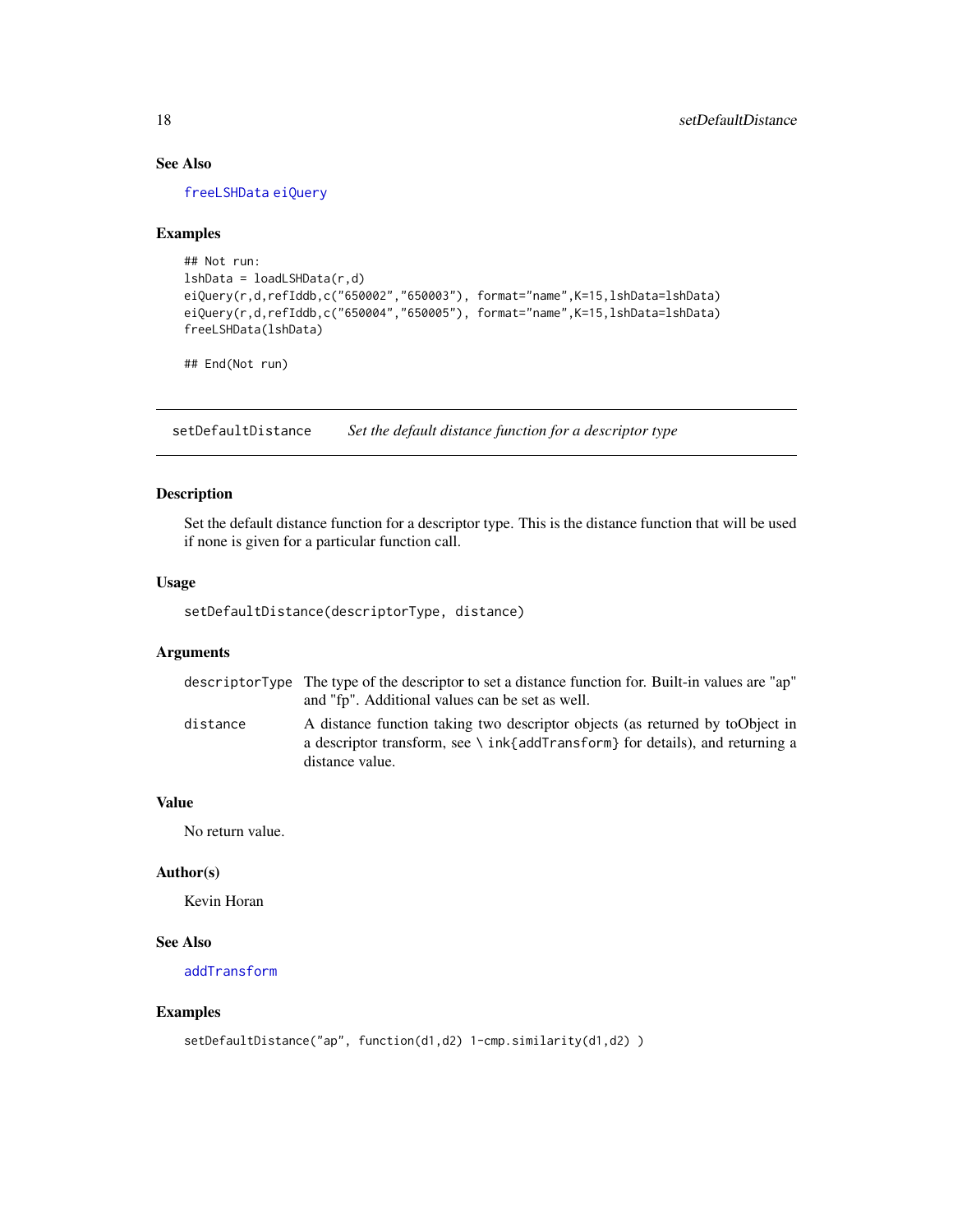# See Also

[freeLSHData](#page-15-1) [eiQuery](#page-13-1)

#### Examples

```
## Not run:
lshData = loadLSHData(r,d)
eiQuery(r,d,refIddb,c("650002","650003"), format="name",K=15,lshData=lshData)
eiQuery(r,d,refIddb,c("650004","650005"), format="name",K=15,lshData=lshData)
freeLSHData(lshData)
```
## End(Not run)

<span id="page-17-1"></span>setDefaultDistance *Set the default distance function for a descriptor type*

# Description

Set the default distance function for a descriptor type. This is the distance function that will be used if none is given for a particular function call.

#### Usage

setDefaultDistance(descriptorType, distance)

# Arguments

|          | descriptor Type The type of the descriptor to set a distance function for. Built-in values are "ap"<br>and "fp". Additional values can be set as well.                                      |
|----------|---------------------------------------------------------------------------------------------------------------------------------------------------------------------------------------------|
| distance | A distance function taking two descriptor objects (as returned by toObject in<br>a descriptor transform, see $\setminus$ ink{addTransform} for details), and returning a<br>distance value. |

# Value

No return value.

#### Author(s)

Kevin Horan

# See Also

[addTransform](#page-1-1)

#### Examples

```
setDefaultDistance("ap", function(d1,d2) 1-cmp.similarity(d1,d2) )
```
<span id="page-17-0"></span>